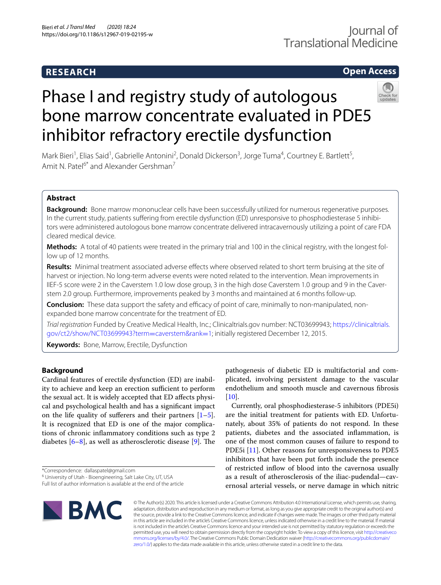## **RESEARCH**

## **Open Access**



# Phase I and registry study of autologous bone marrow concentrate evaluated in PDE5 inhibitor refractory erectile dysfunction

Mark Bieri<sup>1</sup>, Elias Said<sup>1</sup>, Gabrielle Antonini<sup>2</sup>, Donald Dickerson<sup>3</sup>, Jorge Tuma<sup>4</sup>, Courtney E. Bartlett<sup>5</sup>, Amit N. Patel<sup>6\*</sup> and Alexander Gershman<sup>7</sup>

## **Abstract**

**Background:** Bone marrow mononuclear cells have been successfully utilized for numerous regenerative purposes. In the current study, patients sufering from erectile dysfunction (ED) unresponsive to phosphodiesterase 5 inhibitors were administered autologous bone marrow concentrate delivered intracavernously utilizing a point of care FDA cleared medical device.

**Methods:** A total of 40 patients were treated in the primary trial and 100 in the clinical registry, with the longest follow up of 12 months.

**Results:** Minimal treatment associated adverse efects where observed related to short term bruising at the site of harvest or injection. No long-term adverse events were noted related to the intervention. Mean improvements in IIEF-5 score were 2 in the Caverstem 1.0 low dose group, 3 in the high dose Caverstem 1.0 group and 9 in the Caverstem 2.0 group. Furthermore, improvements peaked by 3 months and maintained at 6 months follow-up.

**Conclusion:** These data support the safety and efficacy of point of care, minimally to non-manipulated, nonexpanded bone marrow concentrate for the treatment of ED.

*Trial registration* Funded by Creative Medical Health, Inc.; Clinicaltrials.gov number: NCT03699943; [https://clinicaltrials.](https://clinicaltrials.gov/ct2/show/NCT03699943?term=caverstem&rank=1) [gov/ct2/show/NCT03699943?term](https://clinicaltrials.gov/ct2/show/NCT03699943?term=caverstem&rank=1)=caverstem&rank=1; initially registered December 12, 2015.

**Keywords:** Bone, Marrow, Erectile, Dysfunction

## **Background**

Cardinal features of erectile dysfunction (ED) are inability to achieve and keep an erection sufficient to perform the sexual act. It is widely accepted that ED afects physical and psychological health and has a signifcant impact on the life quality of sufferers and their partners  $[1-5]$  $[1-5]$ . It is recognized that ED is one of the major complications of chronic infammatory conditions such as type 2 diabetes  $[6-8]$  $[6-8]$ , as well as atherosclerotic disease [[9\]](#page-5-4). The

\*Correspondence: dallaspatel@gmail.com

pathogenesis of diabetic ED is multifactorial and complicated, involving persistent damage to the vascular endothelium and smooth muscle and cavernous fbrosis  $[10]$  $[10]$ .

Currently, oral phosphodiesterase-5 inhibitors (PDE5i) are the initial treatment for patients with ED. Unfortunately, about 35% of patients do not respond. In these patients, diabetes and the associated infammation, is one of the most common causes of failure to respond to PDE5i [\[11](#page-5-6)]. Other reasons for unresponsiveness to PDE5 inhibitors that have been put forth include the presence of restricted infow of blood into the cavernosa usually as a result of atherosclerosis of the iliac-pudendal—cavernosal arterial vessels, or nerve damage in which nitric



© The Author(s) 2020. This article is licensed under a Creative Commons Attribution 4.0 International License, which permits use, sharing, adaptation, distribution and reproduction in any medium or format, as long as you give appropriate credit to the original author(s) and the source, provide a link to the Creative Commons licence, and indicate if changes were made. The images or other third party material in this article are included in the article's Creative Commons licence, unless indicated otherwise in a credit line to the material. If material is not included in the article's Creative Commons licence and your intended use is not permitted by statutory regulation or exceeds the permitted use, you will need to obtain permission directly from the copyright holder. To view a copy of this licence, visit [http://creativeco](http://creativecommons.org/licenses/by/4.0/) [mmons.org/licenses/by/4.0/.](http://creativecommons.org/licenses/by/4.0/) The Creative Commons Public Domain Dedication waiver ([http://creativecommons.org/publicdomain/](http://creativecommons.org/publicdomain/zero/1.0/) [zero/1.0/\)](http://creativecommons.org/publicdomain/zero/1.0/) applies to the data made available in this article, unless otherwise stated in a credit line to the data.

<sup>&</sup>lt;sup>6</sup> University of Utah - Bioengineering, Salt Lake City, UT, USA

Full list of author information is available at the end of the article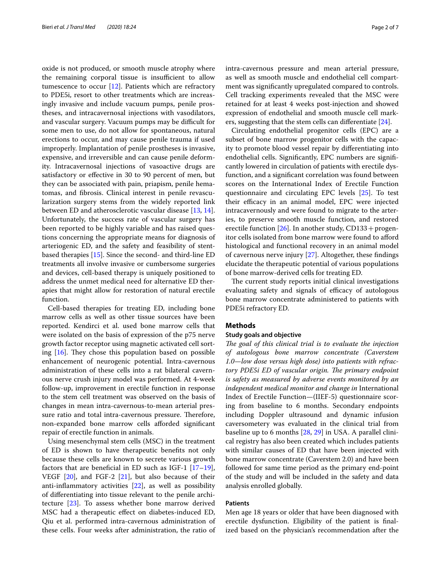oxide is not produced, or smooth muscle atrophy where the remaining corporal tissue is insufficient to allow tumescence to occur [\[12](#page-5-7)]. Patients which are refractory to PDE5i, resort to other treatments which are increasingly invasive and include vacuum pumps, penile prostheses, and intracavernosal injections with vasodilators, and vascular surgery. Vacuum pumps may be difficult for some men to use, do not allow for spontaneous, natural erections to occur, and may cause penile trauma if used improperly. Implantation of penile prostheses is invasive, expensive, and irreversible and can cause penile deformity. Intracavernosal injections of vasoactive drugs are satisfactory or efective in 30 to 90 percent of men, but they can be associated with pain, priapism, penile hematomas, and fbrosis. Clinical interest in penile revascularization surgery stems from the widely reported link between ED and atherosclerotic vascular disease [[13,](#page-5-8) [14](#page-5-9)]. Unfortunately, the success rate of vascular surgery has been reported to be highly variable and has raised questions concerning the appropriate means for diagnosis of arteriogenic ED, and the safety and feasibility of stentbased therapies [[15\]](#page-5-10). Since the second- and third-line ED treatments all involve invasive or cumbersome surgeries and devices, cell-based therapy is uniquely positioned to address the unmet medical need for alternative ED therapies that might allow for restoration of natural erectile function.

Cell-based therapies for treating ED, including bone marrow cells as well as other tissue sources have been reported. Kendirci et al. used bone marrow cells that were isolated on the basis of expression of the p75 nerve growth factor receptor using magnetic activated cell sorting  $[16]$  $[16]$ . They chose this population based on possible enhancement of neurogenic potential. Intra-cavernous administration of these cells into a rat bilateral cavernous nerve crush injury model was performed. At 4-week follow-up, improvement in erectile function in response to the stem cell treatment was observed on the basis of changes in mean intra-cavernous-to-mean arterial pressure ratio and total intra-cavernous pressure. Therefore, non-expanded bone marrow cells aforded signifcant repair of erectile function in animals.

Using mesenchymal stem cells (MSC) in the treatment of ED is shown to have therapeutic benefts not only because these cells are known to secrete various growth factors that are beneficial in ED such as IGF-1  $[17-19]$  $[17-19]$  $[17-19]$ , VEGF [\[20](#page-5-14)], and FGF-2 [[21\]](#page-5-15), but also because of their anti-infammatory activities [\[22\]](#page-5-16), as well as possibility of diferentiating into tissue relevant to the penile architecture [[23\]](#page-5-17). To assess whether bone marrow derived MSC had a therapeutic efect on diabetes-induced ED, Qiu et al. performed intra-cavernous administration of these cells. Four weeks after administration, the ratio of intra-cavernous pressure and mean arterial pressure, as well as smooth muscle and endothelial cell compartment was signifcantly upregulated compared to controls. Cell tracking experiments revealed that the MSC were retained for at least 4 weeks post-injection and showed expression of endothelial and smooth muscle cell markers, suggesting that the stem cells can diferentiate [\[24](#page-5-18)].

Circulating endothelial progenitor cells (EPC) are a subset of bone marrow progenitor cells with the capacity to promote blood vessel repair by diferentiating into endothelial cells. Signifcantly, EPC numbers are signifcantly lowered in circulation of patients with erectile dysfunction, and a signifcant correlation was found between scores on the International Index of Erectile Function questionnaire and circulating EPC levels [\[25\]](#page-5-19). To test their efficacy in an animal model, EPC were injected intracavernously and were found to migrate to the arteries, to preserve smooth muscle function, and restored erectile function  $[26]$  $[26]$ . In another study, CD133 + progenitor cells isolated from bone marrow were found to aford histological and functional recovery in an animal model of cavernous nerve injury [[27](#page-5-21)]. Altogether, these fndings elucidate the therapeutic potential of various populations of bone marrow-derived cells for treating ED.

The current study reports initial clinical investigations evaluating safety and signals of efficacy of autologous bone marrow concentrate administered to patients with PDE5i refractory ED.

## **Methods**

#### **Study goals and objective**

*The goal of this clinical trial is to evaluate the injection of autologous bone marrow concentrate (Caverstem 1.0*—*low dose versus high dose) into patients with refrac*tory PDE5i ED of vascular origin. The primary endpoint *is safety as measured by adverse events monitored by an independent medical monitor and change in* International Index of Erectile Function—(IIEF-5) questionnaire scoring from baseline to 6 months. Secondary endpoints including Doppler ultrasound and dynamic infusion caversometery was evaluated in the clinical trial from baseline up to 6 months [\[28](#page-5-22), [29\]](#page-5-23) in USA. A parallel clinical registry has also been created which includes patients with similar causes of ED that have been injected with bone marrow concentrate (Caverstem 2.0) and have been followed for same time period as the primary end-point of the study and will be included in the safety and data analysis enrolled globally.

## **Patients**

Men age 18 years or older that have been diagnosed with erectile dysfunction. Eligibility of the patient is fnalized based on the physician's recommendation after the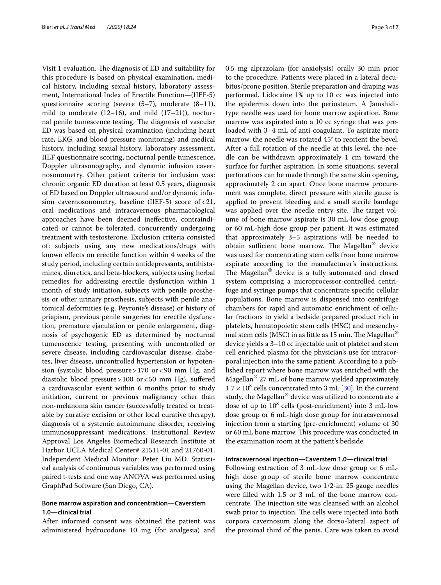Visit 1 evaluation. The diagnosis of ED and suitability for this procedure is based on physical examination, medical history, including sexual history, laboratory assessment, International Index of Erectile Function—(IIEF-5) questionnaire scoring (severe (5–7), moderate (8–11), mild to moderate  $(12–16)$ , and mild  $(17–21)$ ), nocturnal penile tumescence testing. The diagnosis of vascular ED was based on physical examination (including heart rate, EKG, and blood pressure monitoring) and medical history, including sexual history, laboratory assessment, IIEF questionnaire scoring, nocturnal penile tumescence, Doppler ultrasonography, and dynamic infusion cavernosonometry. Other patient criteria for inclusion was: chronic organic ED duration at least 0.5 years, diagnosis of ED based on Doppler ultrasound and/or dynamic infusion cavernosonometry, baseline (IIEF-5) score of <21, oral medications and intracavernous pharmacological approaches have been deemed inefective, contraindicated or cannot be tolerated, concurrently undergoing treatment with testosterone. Exclusion criteria consisted of: subjects using any new medications/drugs with known efects on erectile function within 4 weeks of the study period, including certain antidepressants, antihistamines, diuretics, and beta-blockers, subjects using herbal remedies for addressing erectile dysfunction within 1 month of study initiation, subjects with penile prosthesis or other urinary prosthesis, subjects with penile anatomical deformities (e.g. Peyronie's disease) or history of priapism, previous penile surgeries for erectile dysfunction, premature ejaculation or penile enlargement, diagnosis of psychogenic ED as determined by nocturnal tumenscence testing, presenting with uncontrolled or severe disease, including cardiovascular disease, diabetes, liver disease, uncontrolled hypertension or hypotension (systolic blood pressure>170 or<90 mm Hg, and diastolic blood pressure>100 or<50 mm Hg), sufered a cardiovascular event within 6 months prior to study initiation, current or previous malignancy other than non-melanoma skin cancer (successfully treated or treatable by curative excision or other local curative therapy), diagnosis of a systemic autoimmune disorder, receiving immunosuppressant medications. Institutional Review Approval Los Angeles Biomedical Research Institute at Harbor UCLA Medical Center# 21511-01 and 21760-01. Independent Medical Monitor: Peter Liu MD. Statistical analysis of continuous variables was performed using paired t-tests and one way ANOVA was performed using GraphPad Software (San Diego, CA).

## **Bone marrow aspiration and concentration—Caverstem 1.0—clinical trial**

After informed consent was obtained the patient was administered hydrocodone 10 mg (for analgesia) and 0.5 mg alprazolam (for anxiolysis) orally 30 min prior to the procedure. Patients were placed in a lateral decubitus/prone position. Sterile preparation and draping was performed. Lidocaine 1% up to 10 cc was injected into the epidermis down into the periosteum. A Jamshiditype needle was used for bone marrow aspiration. Bone marrow was aspirated into a 10 cc syringe that was preloaded with 3–4 mL of anti-coagulant. To aspirate more marrow, the needle was rotated 45° to reorient the bevel. After a full rotation of the needle at this level, the needle can be withdrawn approximately 1 cm toward the surface for further aspiration. In some situations, several perforations can be made through the same skin opening, approximately 2 cm apart. Once bone marrow procurement was complete, direct pressure with sterile gauze is applied to prevent bleeding and a small sterile bandage was applied over the needle entry site. The target volume of bone marrow aspirate is 30 mL-low dose group or 60 mL-high dose group per patient. It was estimated that approximately 3–5 aspirations will be needed to obtain sufficient bone marrow. The Magellan® device was used for concentrating stem cells from bone marrow aspirate according to the manufacturer's instructions. The Magellan<sup>®</sup> device is a fully automated and closed system comprising a microprocessor-controlled centrifuge and syringe pumps that concentrate specifc cellular populations. Bone marrow is dispensed into centrifuge chambers for rapid and automatic enrichment of cellular fractions to yield a bedside prepared product rich in platelets, hematopoietic stem cells (HSC) and mesenchymal stem cells (MSC) in as little as 15 min. The Magellan<sup>®</sup> device yields a 3–10 cc injectable unit of platelet and stem cell enriched plasma for the physician's use for intracorporal injection into the same patient. According to a published report where bone marrow was enriched with the Magellan® 27 mL of bone marrow yielded approximately  $1.7 \times 10^8$  cells concentrated into 3 mL [[30\]](#page-5-24). In the current study, the Magellan® device was utilized to concentrate a dose of up to  $10^8$  cells (post-enrichment) into 3 mL-low dose group or 6 mL-high dose group for intracavernosal injection from a starting (pre-enrichment) volume of 30 or 60 mL bone marrow. This procedure was conducted in the examination room at the patient's bedside.

#### **Intracavernosal injection—Caverstem 1.0—clinical trial**

Following extraction of 3 mL-low dose group or 6 mLhigh dose group of sterile bone marrow concentrate using the Magellan device, two 1/2-in. 25-gauge needles were flled with 1.5 or 3 mL of the bone marrow concentrate. The injection site was cleansed with an alcohol swab prior to injection. The cells were injected into both corpora cavernosum along the dorso-lateral aspect of the proximal third of the penis. Care was taken to avoid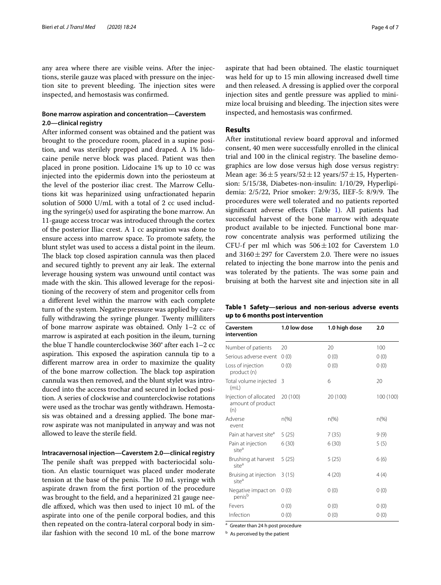any area where there are visible veins. After the injections, sterile gauze was placed with pressure on the injection site to prevent bleeding. The injection sites were inspected, and hemostasis was confrmed.

## **Bone marrow aspiration and concentration—Caverstem 2.0—clinical registry**

After informed consent was obtained and the patient was brought to the procedure room, placed in a supine position, and was sterilely prepped and draped. A 1% lidocaine penile nerve block was placed. Patient was then placed in prone position. Lidocaine 1% up to 10 cc was injected into the epidermis down into the periosteum at the level of the posterior iliac crest. The Marrow Cellutions kit was heparinized using unfractionated heparin solution of 5000 U/mL with a total of 2 cc used including the syringe(s) used for aspirating the bone marrow. An 11-gauge access trocar was introduced through the cortex of the posterior Iliac crest. A 1 cc aspiration was done to ensure access into marrow space. To promote safety, the blunt stylet was used to access a distal point in the ileum. The black top closed aspiration cannula was then placed and secured tightly to prevent any air leak. The external leverage housing system was unwound until contact was made with the skin. This allowed leverage for the repositioning of the recovery of stem and progenitor cells from a diferent level within the marrow with each complete turn of the system. Negative pressure was applied by carefully withdrawing the syringe plunger. Twenty milliliters of bone marrow aspirate was obtained. Only 1–2 cc of marrow is aspirated at each position in the ileum, turning the blue T handle counterclockwise 360° after each 1–2 cc aspiration. This exposed the aspiration cannula tip to a diferent marrow area in order to maximize the quality of the bone marrow collection. The black top aspiration cannula was then removed, and the blunt stylet was introduced into the access trochar and secured in locked position. A series of clockwise and counterclockwise rotations were used as the trochar was gently withdrawn. Hemostasis was obtained and a dressing applied. The bone marrow aspirate was not manipulated in anyway and was not allowed to leave the sterile feld.

**Intracavernosal injection—Caverstem 2.0—clinical registry** The penile shaft was prepped with bacteriocidal solution. An elastic tourniquet was placed under moderate tension at the base of the penis. The 10 mL syringe with aspirate drawn from the frst portion of the procedure was brought to the feld, and a heparinized 21 gauge needle affixed, which was then used to inject 10 mL of the aspirate into one of the penile corporal bodies, and this then repeated on the contra-lateral corporal body in similar fashion with the second 10 mL of the bone marrow aspirate that had been obtained. The elastic tourniquet was held for up to 15 min allowing increased dwell time and then released. A dressing is applied over the corporal injection sites and gentle pressure was applied to minimize local bruising and bleeding. The injection sites were inspected, and hemostasis was confrmed.

## **Results**

After institutional review board approval and informed consent, 40 men were successfully enrolled in the clinical trial and 100 in the clinical registry. The baseline demographics are low dose versus high dose versus registry: Mean age:  $36 \pm 5$  years/ $52 \pm 12$  years/ $57 \pm 15$ , Hypertension: 5/15/38, Diabetes-non-insulin: 1/10/29, Hyperlipidemia: 2/5/22, Prior smoker: 2/9/35, IIEF-5: 8/9/9. The procedures were well tolerated and no patients reported signifcant adverse efects (Table [1\)](#page-3-0). All patients had successful harvest of the bone marrow with adequate product available to be injected. Functional bone marrow concentrate analysis was performed utilizing the CFU-f per ml which was  $506 \pm 102$  for Caverstem 1.0 and  $3160 \pm 297$  for Caverstem 2.0. There were no issues related to injecting the bone marrow into the penis and was tolerated by the patients. The was some pain and bruising at both the harvest site and injection site in all

<span id="page-3-0"></span>**Table 1 Safety—serious and non-serious adverse events up to 6 months post intervention**

| Caverstem<br>intervention                          | 1.0 low dose   | 1.0 high dose | 2.0       |
|----------------------------------------------------|----------------|---------------|-----------|
| Number of patients                                 | 20             | 20            | 100       |
| Serious adverse event                              | 0(0)           | 0(0)          | 0(0)      |
| Loss of injection<br>product (n)                   | 0(0)           | 0(0)          | 0(0)      |
| Total volume injected<br>(mL)                      | 3              | 6             | 20        |
| Injection of allocated<br>amount of product<br>(n) | 20 (100)       | 20 (100)      | 100 (100) |
| Adverse<br>event                                   | $n\frac{9}{6}$ | $n(\%)$       | $n(\%)$   |
| Pain at harvest site <sup>a</sup>                  | 5(25)          | 7(35)         | 9(9)      |
| Pain at injection<br>site <sup>a</sup>             | 6(30)          | 6(30)         | 5(5)      |
| Brushing at harvest<br>site <sup>a</sup>           | 5(25)          | 5(25)         | 6(6)      |
| Bruising at injection<br>site <sup>a</sup>         | 3(15)          | 4(20)         | 4(4)      |
| Negative impact on<br>penis <sup>b</sup>           | 0(0)           | 0(0)          | 0(0)      |
| Fevers                                             | 0(0)           | 0(0)          | 0(0)      |
| Infection                                          | 0(0)           | 0(0)          | 0(0)      |

<sup>a</sup> Greater than 24 h post procedure

**b** As perceived by the patient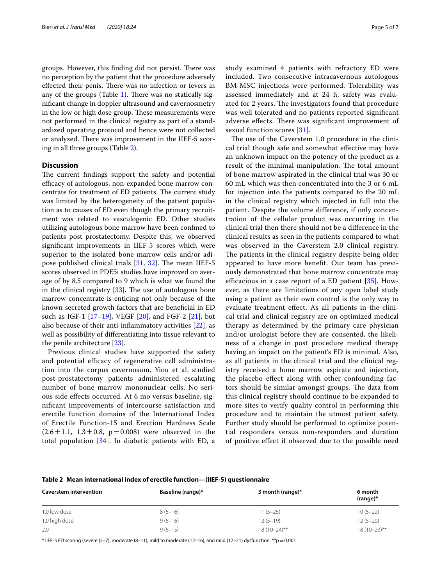groups. However, this finding did not persist. There was no perception by the patient that the procedure adversely effected their penis. There was no infection or fevers in any of the groups (Table [1\)](#page-3-0). There was no statically signifcant change in doppler ultrasound and cavernosmetry in the low or high dose group. These measurements were not performed in the clinical registry as part of a standardized operating protocol and hence were not collected or analyzed. There was improvement in the IIEF-5 scoring in all three groups (Table [2\)](#page-4-0).

### **Discussion**

The current findings support the safety and potential efficacy of autologous, non-expanded bone marrow concentrate for treatment of ED patients. The current study was limited by the heterogeneity of the patient population as to causes of ED even though the primary recruitment was related to vasculogenic ED. Other studies utilizing autologous bone marrow have been confned to patients post prostatectomy. Despite this, we observed signifcant improvements in IIEF-5 scores which were superior to the isolated bone marrow cells and/or adipose published clinical trials  $[31, 32]$  $[31, 32]$  $[31, 32]$  $[31, 32]$ . The mean IIEF-5 scores observed in PDE5i studies have improved on average of by 8.5 compared to 9 which is what we found the in the clinical registry  $[33]$  $[33]$  $[33]$ . The use of autologous bone marrow concentrate is enticing not only because of the known secreted growth factors that are benefcial in ED such as IGF-1 [[17–](#page-5-12)[19](#page-5-13)], VEGF [[20\]](#page-5-14), and FGF-2 [\[21\]](#page-5-15), but also because of their anti-infammatory activities [\[22\]](#page-5-16), as well as possibility of diferentiating into tissue relevant to the penile architecture [\[23](#page-5-17)].

Previous clinical studies have supported the safety and potential efficacy of regenerative cell administration into the corpus cavernosum. Yiou et al. studied post-prostatectomy patients administered escalating number of bone marrow mononuclear cells. No serious side efects occurred. At 6 mo versus baseline, signifcant improvements of intercourse satisfaction and erectile function domains of the International Index of Erectile Function-15 and Erection Hardness Scale  $(2.6 \pm 1.1, 1.3 \pm 0.8, p=0.008)$  were observed in the total population [[34](#page-6-3)]. In diabetic patients with ED, a study examined 4 patients with refractory ED were included. Two consecutive intracavernous autologous BM-MSC injections were performed. Tolerability was assessed immediately and at 24 h, safety was evaluated for 2 years. The investigators found that procedure was well tolerated and no patients reported signifcant adverse effects. There was significant improvement of sexual function scores [[31\]](#page-6-0).

The use of the Caverstem 1.0 procedure in the clinical trial though safe and somewhat efective may have an unknown impact on the potency of the product as a result of the minimal manipulation. The total amount of bone marrow aspirated in the clinical trial was 30 or 60 mL which was then concentrated into the 3 or 6 mL for injection into the patients compared to the 20 mL in the clinical registry which injected in full into the patient. Despite the volume diference, if only concentration of the cellular product was occurring in the clinical trial then there should not be a diference in the clinical results as seen in the patients compared to what was observed in the Caverstem 2.0 clinical registry. The patients in the clinical registry despite being older appeared to have more beneft. Our team has previously demonstrated that bone marrow concentrate may efficacious in a case report of a ED patient  $[35]$  $[35]$ . However, as there are limitations of any open label study using a patient as their own control is the only way to evaluate treatment efect. As all patients in the clinical trial and clinical registry are on optimized medical therapy as determined by the primary care physician and/or urologist before they are consented, the likeliness of a change in post procedure medical therapy having an impact on the patient's ED is minimal. Also, as all patients in the clinical trial and the clinical registry received a bone marrow aspirate and injection, the placebo efect along with other confounding factors should be similar amongst groups. The data from this clinical registry should continue to be expanded to more sites to verify quality control in performing this procedure and to maintain the utmost patient safety. Further study should be performed to optimize potential responders versus non-responders and duration of positive efect if observed due to the possible need

#### <span id="page-4-0"></span>**Table 2 Mean international index of erectile function—(IIEF-5) questionnaire**

| <b>Caverstem intervention</b> | Baseline (range)* | 3 month (range)* | 6 month<br>$(range)^*$ |
|-------------------------------|-------------------|------------------|------------------------|
| 1.0 low dose                  | $8(5-16)$         | $11(5-25)$       | $10(5-22)$             |
| 1.0 high dose                 | $9(5-16)$         | $12(5-19)$       | $12(5-20)$             |
| 2.0                           | $9(5-15)$         | $18(10-24)$ **   | $18(10-23)$ **         |

\* IIEF-5 ED scoring (severe (5–7), moderate (8–11), mild to moderate (12–16), and mild (17–21) dysfunction. \*\*p=0.001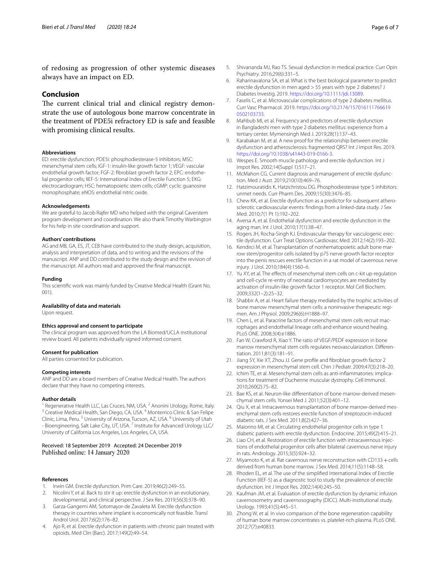of redosing as progression of other systemic diseases always have an impact on ED.

#### **Conclusion**

The current clinical trial and clinical registry demonstrate the use of autologous bone marrow concentrate in the treatment of PDE5i refractory ED is safe and feasible with promising clinical results.

#### **Abbreviations**

ED: erectile dysfunction; PDE5i: phosphodiesterase-5 inhibitors; MSC: mesenchymal stem cells; IGF-1: insulin-like growth factor 1; VEGF: vascular endothelial growth factor; FGF-2: fbroblast growth factor 2; EPC: endothelial progenitor cells; IIEF-5: International Index of Erectile Function 5; EKG: electrocardiogram; HSC: hematopoietic stem cells; cGMP: cyclic guanosine monophosphate; eNOS: endothelial nitric oxide.

#### **Acknowledgements**

We are grateful to Jacob Rajfer MD who helped with the original Caverstem program development and coordination. We also thank Timothy Warbington for his help in site coordination and support.

#### **Authors' contributions**

AG and MB, GA, ES, JT, CEB have contributed to the study design, acquisition, analysis and interpretation of data, and to writing and the revisions of the manuscript. ANP and DD contributed to the study design and the revision of the manuscript. All authors read and approved the fnal manuscript.

#### **Funding**

This scientifc work was mainly funded by Creative Medical Health (Grant No. 001).

#### **Availability of data and materials**

Upon request.

#### **Ethics approval and consent to participate**

The clinical program was approved from the LA Biomed/UCLA institutional review board. All patients individually signed informed consent.

#### **Consent for publication**

All parties consented for publication.

#### **Competing interests**

ANP and DD are a board members of Creative Medical Health. The authors declare that they have no competing interests.

**Author details**<br><sup>1</sup> Regenerative Health LLC, Las Cruces, NM, USA.<sup>2</sup> Anonini Urology, Rome, Italy. <sup>3</sup> Creative Medical Health, San Diego, CA, USA. <sup>4</sup> Monterrico Clinic & San Felipe Clinic, Lima, Peru.<sup>5</sup> University of Arizona, Tucson, AZ, USA.<sup>6</sup> University of Utah - Bioengineering, Salt Lake City, UT, USA. <sup>7</sup> Institute for Advanced Urology LLC/ University of California Los Angeles, Los Angeles, CA, USA.

#### Received: 18 September 2019 Accepted: 24 December 2019 Published online: 14 January 2020

#### **References**

- <span id="page-5-0"></span>1. Irwin GM. Erectile dysfunction. Prim Care. 2019;46(2):249–55.
- 2. Nicolini Y, et al. Back to stir it up: erectile dysfunction in an evolutionary, developmental, and clinical perspective. J Sex Res. 2019;56(3):378–90.
- 3. Garza-Gangemi AM, Sotomayor-de Zavaleta M. Erectile dysfunction therapy in countries where implant is economically not feasible. Transl Androl Urol. 2017;6(2):176–82.
- Ajo R, et al. Erectile dysfunction in patients with chronic pain treated with opioids. Med Clin (Barc). 2017;149(2):49–54.
- <span id="page-5-1"></span>5. Shivananda MJ, Rao TS. Sexual dysfunction in medical practice. Curr Opin Psychiatry. 2016;29(6):331–5.
- <span id="page-5-2"></span>6. Raharinavalona SA, et al. What is the best biological parameter to predict erectile dysfunction in men aged > 55 years with type 2 diabetes? J Diabetes Investig. 2019.<https://doi.org/10.1111/jdi.13089>.
- Faselis C, et al. Microvascular complications of type 2 diabetes mellitus. Curr Vasc Pharmacol. 2019. [https://doi.org/10.2174/157016111766619](https://doi.org/10.2174/1570161117666190502103733) [0502103733](https://doi.org/10.2174/1570161117666190502103733).
- <span id="page-5-3"></span>8. Mahbub MI, et al. Frequency and predictors of erectile dysfunction in Bangladeshi men with type 2 diabetes mellitus: experience from a tertiary center. Mymensingh Med J. 2019;28(1):137–43.
- <span id="page-5-4"></span>9. Karabakan M, et al. A new proof for the relationship between erectile dysfunction and atherosclerosis: fragmented QRS? Int J Impot Res. 2019. [https://doi.org/10.1038/s41443-019-0166-3.](https://doi.org/10.1038/s41443-019-0166-3)
- <span id="page-5-5"></span>10. Wespes E. Smooth muscle pathology and erectile dysfunction. Int J Impot Res. 2002;14(Suppl 1):S17–21.
- <span id="page-5-6"></span>11. McMahon CG. Current diagnosis and management of erectile dysfunction. Med J Aust. 2019;210(10):469–76.
- <span id="page-5-7"></span>12. Hatzimouratidis K, Hatzichristou DG. Phosphodiesterase type 5 inhibitors: unmet needs. Curr Pharm Des. 2009;15(30):3476–85.
- <span id="page-5-8"></span>13. Chew KK, et al. Erectile dysfunction as a predictor for subsequent atherosclerotic cardiovascular events: fndings from a linked-data study. J Sex Med. 2010;7(1 Pt 1):192–202.
- <span id="page-5-9"></span>14. Aversa A, et al. Endothelial dysfunction and erectile dysfunction in the aging man. Int J Urol. 2010;17(1):38–47.
- <span id="page-5-10"></span>15. Rogers JH, Rocha-Singh KJ. Endovascular therapy for vasculogenic erectile dysfunction. Curr Treat Options Cardiovasc Med. 2012;14(2):193–202.
- <span id="page-5-11"></span>16. Kendirci M, et al. Transplantation of nonhematopoietic adult bone marrow stem/progenitor cells isolated by p75 nerve growth factor receptor into the penis rescues erectile function in a rat model of cavernous nerve injury. J Urol. 2010;184(4):1560–6.
- <span id="page-5-12"></span>17. Yu XY, et al. The effects of mesenchymal stem cells on c-kit up-regulation and cell-cycle re-entry of neonatal cardiomyocytes are mediated by activation of insulin-like growth factor 1 receptor. Mol Cell Biochem. 2009;332(1–2):25–32.
- 18. Shabbir A, et al. Heart failure therapy mediated by the trophic activities of bone marrow mesenchymal stem cells: a noninvasive therapeutic regimen. Am J Physiol. 2009;296(6):H1888–97.
- <span id="page-5-13"></span>19. Chen L, et al. Paracrine factors of mesenchymal stem cells recruit macrophages and endothelial lineage cells and enhance wound healing. PLoS ONE. 2008;3(4):e1886.
- <span id="page-5-14"></span>20. Fan W, Crawford R, Xiao Y. The ratio of VEGF/PEDF expression in bone marrow mesenchymal stem cells regulates neovascularization. Diferentiation. 2011;81(3):181–91.
- <span id="page-5-15"></span>21. Jiang SY, Xie XT, Zhou JJ. Gene profle and fbroblast growth factor 2 expression in mesenchymal stem cell. Chin J Pediatr. 2009;47(3):218–20.
- <span id="page-5-16"></span>22. Ichim TE, et al. Mesenchymal stem cells as anti-infammatories: implications for treatment of Duchenne muscular dystrophy. Cell Immunol. 2010;260(2):75–82.
- <span id="page-5-17"></span>23. Bae KS, et al. Neuron-like diferentiation of bone marrow-derived mesenchymal stem cells. Yonsei Med J. 2011;52(3):401–12.
- <span id="page-5-18"></span>24. Qiu X, et al. Intracavernous transplantation of bone marrow-derived mesenchymal stem cells restores erectile function of streptozocin-induced diabetic rats. J Sex Med. 2011;8(2):427–36.
- <span id="page-5-19"></span>25. Maiorino MI, et al. Circulating endothelial progenitor cells in type 1 diabetic patients with erectile dysfunction. Endocrine. 2015;49(2):415–21.
- <span id="page-5-20"></span>26. Liao CH, et al. Restoration of erectile function with intracavernous injections of endothelial progenitor cells after bilateral cavernous nerve injury in rats. Andrology. 2015;3(5):924–32.
- <span id="page-5-21"></span>27. Miyamoto K, et al. Rat cavernous nerve reconstruction with CD133 + cells derived from human bone marrow. J Sex Med. 2014;11(5):1148–58.
- <span id="page-5-22"></span>28. Rhoden EL, et al. The use of the simplifed International Index of Erectile Function (IIEF-5) as a diagnostic tool to study the prevalence of erectile dysfunction. Int J Impot Res. 2002;14(4):245–50.
- <span id="page-5-23"></span>29. Kaufman JM, et al. Evaluation of erectile dysfunction by dynamic infusion cavernosometry and cavernosography (DICC). Multi-institutional study. Urology. 1993;41(5):445–51.
- <span id="page-5-24"></span>30. Zhong W, et al. In vivo comparison of the bone regeneration capability of human bone marrow concentrates vs. platelet-rich plasma. PLoS ONE. 2012;7(7):e40833.